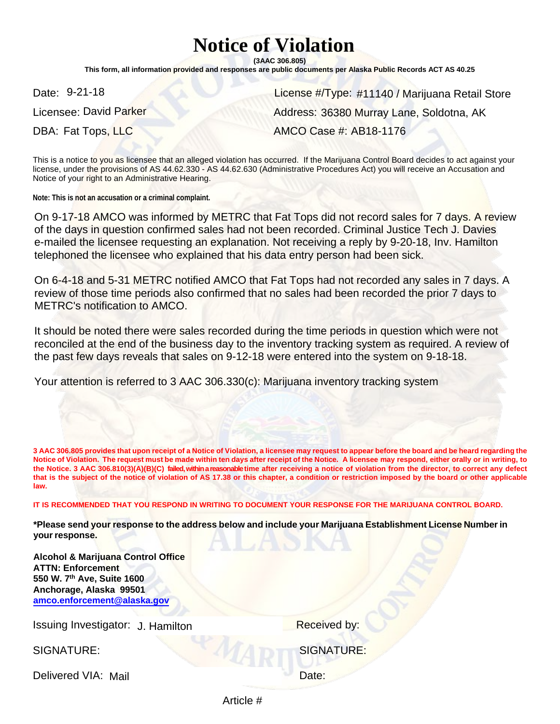# **Notice of Violation**

**(3AAC 306.805)** 

**This form, all information provided and responses are public documents per Alaska Public Records ACT AS 40.25**

Date: 9-21-18

Licensee: David Parker **Constantine Construction Construction** Address:

Date: 9-21-18<br>License #/Type: #11140 / Marijuana Retail Store<br>Licensee: David Parker Music Address: 36380 Murray Lane, Soldotna, AK<br>AMCO Case #: AB18-1176 DBA: Fat Tops, LLC AMCO Case #: AB18-1176

This is a notice to you as licensee that an alleged violation has occurred. If the Marijuana Control Board decides to act against your license, under the provisions of AS 44.62.330 - AS 44.62.630 (Administrative Procedures Act) you will receive an Accusation and Notice of your right to an Administrative Hearing.

**Note: This is not an accusation or a criminal complaint.**

On 9-17-18 AMCO was informed by METRC that Fat Tops did not record sales for 7 days. A review of the days in question confirmed sales had not been recorded. Criminal Justice Tech J. Davies e-mailed the licensee requesting an explanation. Not receiving a reply by 9-20-18, Inv. Hamilton telephoned the licensee who explained that his data entry person had been sick.

On 6-4-18 and 5-31 METRC notified AMCO that Fat Tops had not recorded any sales in 7 days. A review of those time periods also confirmed that no sales had been recorded the prior 7 days to METRC's notification to AMCO.

It should be noted there were sales recorded during the time periods in question which were not reconciled at the end of the business day to the inventory tracking system as required. A review of the past few days reveals that sales on 9-12-18 were entered into the system on 9-18-18.

Your attention is referred to 3 AAC 306.330(c): Marijuana inventory tracking system

**3 AAC 306.805 provides that upon receipt of a Notice of Violation, a licensee may request to appear before the board and be heard regarding the Notice of Violation. The request must be made within ten days after receipt of the Notice. A licensee may respond, either orally or in writing, to the Notice. 3 AAC 306.810(3)(A)(B)(C) failed, within a reasonable time after receiving a notice of violation from the director, to correct any defect that is the subject of the notice of violation of AS 17.38 or this chapter, a condition or restriction imposed by the board or other applicable law.** 

**IT IS RECOMMENDED THAT YOU RESPOND IN WRITING TO DOCUMENT YOUR RESPONSE FOR THE MARIJUANA CONTROL BOARD.** 

**\*Please send your response to the address below and include your Marijuana Establishment License Number in your response.** 

**Alcohol & Marijuana Control Office ATTN: Enforcement 550 W. 7th Ave, Suite 1600 Anchorage, Alaska 99501 [amco.enforcement@alaska.gov](mailto:amco.enforcement@alaska.gov)**

Issuing Investigator: J. Hamilton **Example 20 Franch Provident Control** By:

Delivered VIA: Mail and the Contract of the Date:

SIGNATURE: SIGNATURE:

Article #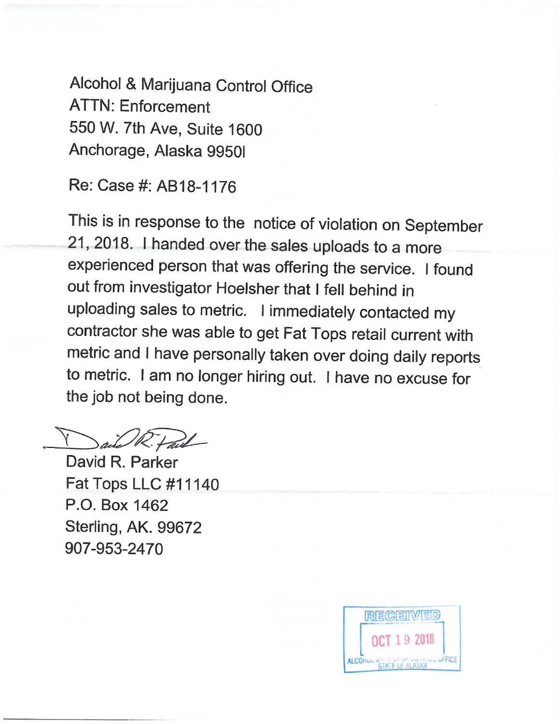Alcohol & Marijuana Control Office **ATTN: Enforcement** 550 W. 7th Ave, Suite 1600 Anchorage, Alaska 9950I

Re: Case #: AB18-1176

This is in response to the notice of violation on September 21, 2018. I handed over the sales uploads to a more experienced person that was offering the service. I found out from investigator Hoelsher that I fell behind in uploading sales to metric. I immediately contacted my contractor she was able to get Fat Tops retail current with metric and I have personally taken over doing daily reports to metric. I am no longer hiring out. I have no excuse for the job not being done.

ail R. Fail

David R. Parker **Fat Tops LLC #11140** P.O. Box 1462 Sterling, AK. 99672 907-953-2470

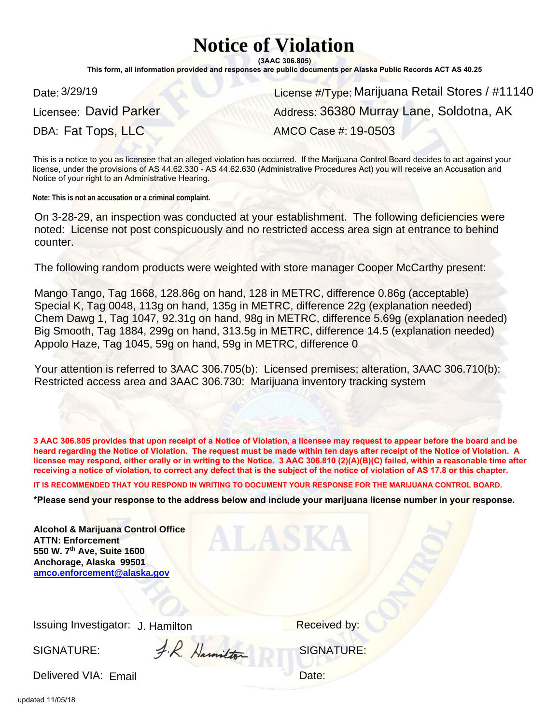# **Notice of Violation**

**(3AAC 306.805)**

**This form, all information provided and responses are public documents per Alaska Public Records ACT AS 40.25**

Licensee: David Parker

Date: 3/29/19 **Marijuana Retail Stores / #11140** License #/Type: Marijuana Retail Stores / #11140 DBA: Fat Tops, LLC AMCO Case #: 19-0503 Address: 36380 Murray Lane, Soldotna, AK

This is a notice to you as licensee that an alleged violation has occurred. If the Marijuana Control Board decides to act against your license, under the provisions of AS 44.62.330 - AS 44.62.630 (Administrative Procedures Act) you will receive an Accusation and Notice of your right to an Administrative Hearing.

**Note: This is not an accusation or a criminal complaint.**

On 3-28-29, an inspection was conducted at your establishment. The following deficiencies were noted: License not post conspicuously and no restricted access area sign at entrance to behind counter.

The following random products were weighted with store manager Cooper McCarthy present:

Mango Tango, Tag 1668, 128.86g on hand, 128 in METRC, difference 0.86g (acceptable) Special K, Tag 0048, 113g on hand, 135g in METRC, difference 22g (explanation needed) Chem Dawg 1, Tag 1047, 92.31g on hand, 98g in METRC, difference 5.69g (explanation needed) Big Smooth, Tag 1884, 299g on hand, 313.5g in METRC, difference 14.5 (explanation needed) Appolo Haze, Tag 1045, 59g on hand, 59g in METRC, difference 0

Your attention is referred to 3AAC 306.705(b): Licensed premises; alteration, 3AAC 306.710(b): Restricted access area and 3AAC 306.730: Marijuana inventory tracking system

**3 AAC 306.805 provides that upon receipt of a Notice of Violation, a licensee may request to appear before the board and be heard regarding the Notice of Violation. The request must be made within ten days after receipt of the Notice of Violation. A licensee may respond, either orally or in writing to the Notice. 3 AAC 306.810 (2)(A)(B)(C) failed, within a reasonable time after receiving a notice of violation, to correct any defect that is the subject of the notice of violation of AS 17.8 or this chapter.** 

**IT IS RECOMMENDED THAT YOU RESPOND IN WRITING TO DOCUMENT YOUR RESPONSE FOR THE MARIJUANA CONTROL BOARD.**

**\*Please send your response to the address below and include your marijuana license number in your response.**

| <b>Alcohol &amp; Marijuana Control Office</b><br><b>ATTN: Enforcement</b><br>550 W. 7th Ave, Suite 1600<br>Anchorage, Alaska 99501<br>amco.enforcement@alaska.gov |              |                     |  |
|-------------------------------------------------------------------------------------------------------------------------------------------------------------------|--------------|---------------------|--|
| Issuing Investigator: J. Hamilton                                                                                                                                 |              | <b>Received by:</b> |  |
| SIGNATURE:                                                                                                                                                        | R. Harmitton | <b>SIGNATURE:</b>   |  |

Delivered VIA: Email et al. et al. et al. et al. et al. et al. et al. et al. et al. et al. et al. et al. et al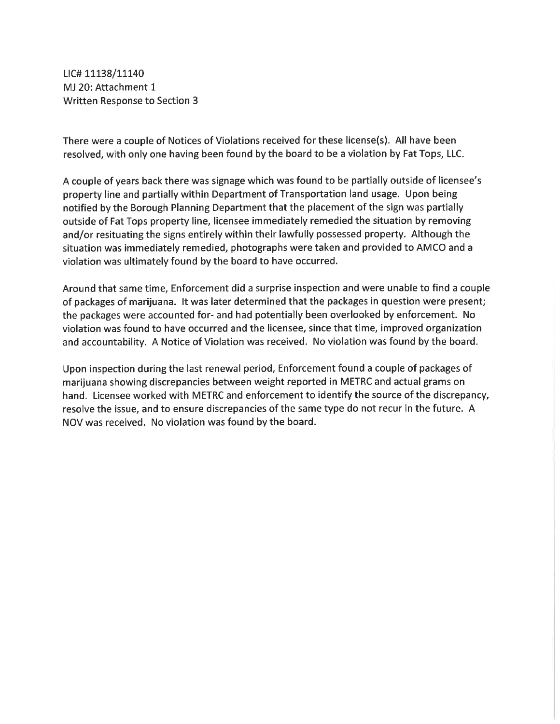LIC# 11138/11140 MJ 20: Attachment 1 Written Response to Section 3

There were a couple of Notices of Violations received for these license(s). All have been resolved, with only one having been found by the board to be a violation by Fat Tops, LLC.

A couple of years back there was signage which was found to be partially outside of licensee's property line and partially within Department of Transportation land usage. Upon being notified by the Borough Planning Department that the placement of the sign was partially outside of Fat Tops property line, licensee immediately remedied the situation by removing and/or resituating the signs entirely within their lawfully possessed property. Although the situation was immediately remedied, photographs were taken and provided to AMCO and a violation was ultimately found by the board to have occurred.

Around that same time, Enforcement did a surprise inspection and were unable to find a couple of packages of marijuana. It was later determined that the packages in question were present; the packages were accounted for- and had potentially been overlooked by enforcement. No violation was found to have occurred and the licensee, since that time, improved organization and accountability. A Notice of Violation was received. No violation was found by the board.

Upon inspection during the last renewal period, Enforcement found a couple of packages of marijuana showing discrepancies between weight reported in METRC and actual grams on hand. Licensee worked with METRC and enforcement to identify the source of the discrepancy, resolve the issue, and to ensure discrepancies of the same type do not recur in the future. A NOV was received. No violation was found by the board.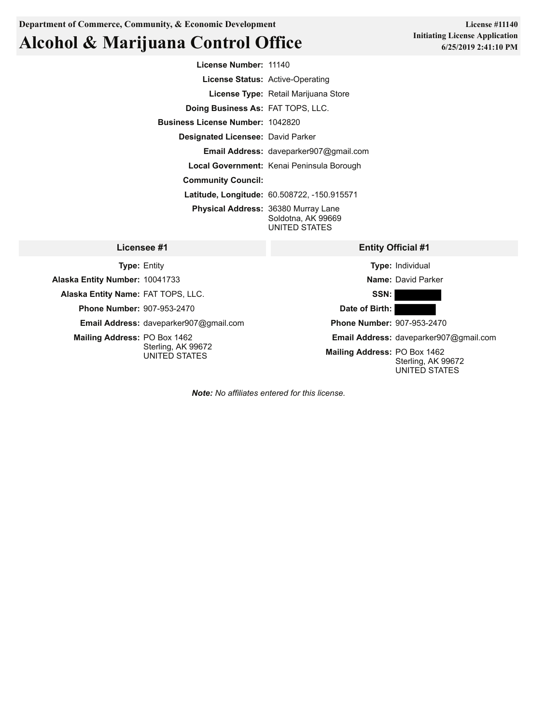## **Alcohol & Marijuana Control Office**

**Entity Official #1 License Number:** 11140 **License Status:** Active-Operating **License Type:** Retail Marijuana Store **Doing Business As:** FAT TOPS, LLC. **Business License Number:** 1042820 **Designated Licensee:** David Parker **Email Address:** daveparker907@gmail.com **Local Government:** Kenai Peninsula Borough **Community Council: Latitude, Longitude:** 60.508722, -150.915571 **Physical Address:** 36380 Murray Lane Soldotna, AK 99669 UNITED STATES

| Licensee #1                                   | <b>Entity Official #1</b>                                           |
|-----------------------------------------------|---------------------------------------------------------------------|
| <b>Type: Entity</b>                           | <b>Type: Individual</b>                                             |
| Alaska Entity Number: 10041733                | Name: David Parker                                                  |
| Alaska Entity Name: FAT TOPS, LLC.            | SSN: I                                                              |
| <b>Phone Number: 907-953-2470</b>             | Date of Birth:                                                      |
| <b>Email Address:</b> daveparker907@gmail.com | <b>Phone Number: 907-953-2470</b>                                   |
| <b>Mailing Address: PO Box 1462</b>           | Email Address: daveparker907@gmail.com                              |
| Sterling, AK 99672<br>UNITED STATES           | Mailing Address: PO Box 1462<br>Sterling, AK 99672<br>UNITED STATES |

*Note: No affiliates entered for this license.*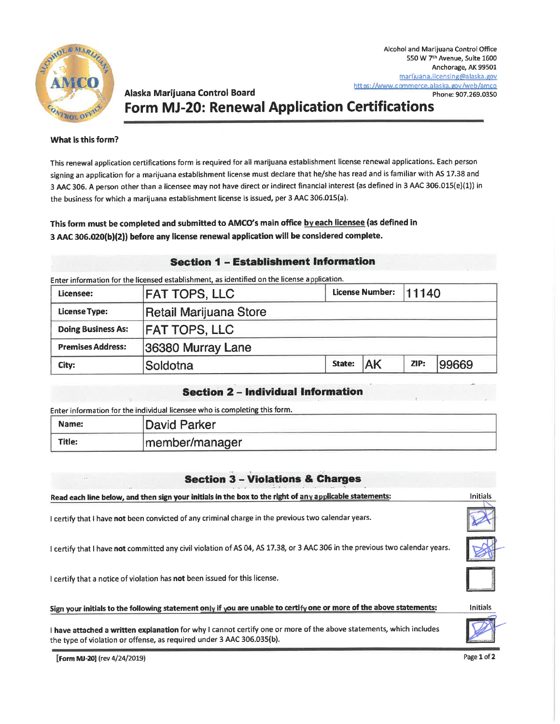

### Alaska Marijuana Control Board **Form MJ-20: Renewal Application Certifications**

#### What is this form?

This renewal application certifications form is required for all marijuana establishment license renewal applications. Each person signing an application for a marijuana establishment license must declare that he/she has read and is familiar with AS 17.38 and 3 AAC 306. A person other than a licensee may not have direct or indirect financial interest (as defined in 3 AAC 306.015(e)(1)) in the business for which a marijuana establishment license is issued, per 3 AAC 306.015(a).

#### This form must be completed and submitted to AMCO's main office by each licensee (as defined in 3 AAC 306.020(b)(2)) before any license renewal application will be considered complete.

#### **Section 1 - Establishment Information**

Enter information for the licensed establishment, as identified on the license application.

| Licensee:                 | <b>FAT TOPS, LLC</b>   |        | License Number: 11140 |      |       |
|---------------------------|------------------------|--------|-----------------------|------|-------|
| <b>License Type:</b>      | Retail Marijuana Store |        |                       |      |       |
| <b>Doing Business As:</b> | <b>FAT TOPS, LLC</b>   |        |                       |      |       |
| <b>Premises Address:</b>  | 36380 Murray Lane      |        |                       |      |       |
| City:                     | Soldotna               | State: | <b>AK</b>             | ZIP: | 99669 |

#### **Section 2 - Individual Information**

Enter information for the individual licensee who is completing this form.

| Name:  | David Parker   |
|--------|----------------|
| Title: | member/manager |

### **Section 3 - Violations & Charges**

| Read each line below, and then sign your initials in the box to the right of any applicable statements:                                                                                     | <b>Initials</b> |
|---------------------------------------------------------------------------------------------------------------------------------------------------------------------------------------------|-----------------|
| I certify that I have not been convicted of any criminal charge in the previous two calendar years.                                                                                         |                 |
| I certify that I have not committed any civil violation of AS 04, AS 17.38, or 3 AAC 306 in the previous two calendar years.                                                                |                 |
| I certify that a notice of violation has not been issued for this license.                                                                                                                  |                 |
| Sign your initials to the following statement only if you are unable to certify one or more of the above statements:                                                                        | Initials        |
| I have attached a written explanation for why I cannot certify one or more of the above statements, which includes<br>the type of violation or offense, as required under 3 AAC 306.035(b). |                 |
| [Form ML-20] (rev 4/24/2019).                                                                                                                                                               | Page 1 of 2     |

[**Form MJ-20]** (rev 4/24/2019)